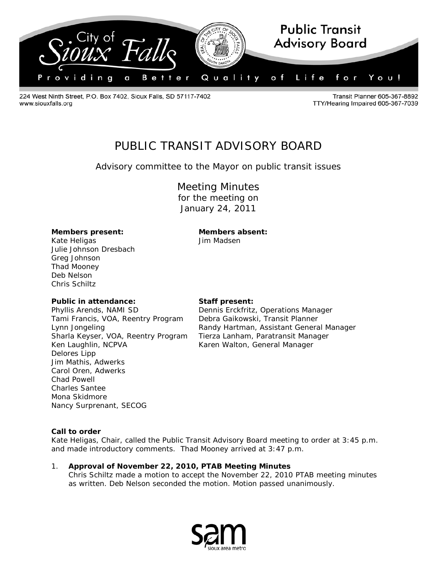

224 West Ninth Street, P.O. Box 7402, Sioux Falls, SD 57117-7402 www.siouxfalls.org

Transit Planner 605-367-8892 TTY/Hearing Impaired 605-367-7039

# PUBLIC TRANSIT ADVISORY BOARD

*Advisory committee to the Mayor on public transit issues*

# Meeting Minutes

for the meeting on January 24, 2011

# **Members present: Members absent:**

Kate Heligas **Access 15 Madsen** Julie Johnson Dresbach Greg Johnson Thad Mooney Deb Nelson Chris Schiltz

## **Public in attendance: Staff present:**

Phyllis Arends, NAMI SD **Dennis Erckfritz, Operations Manager** Tami Francis, VOA, Reentry Program Debra Gaikowski, Transit Planner Sharla Keyser, VOA, Reentry Program Tierza Lanham, Paratransit Manager Ken Laughlin, NCPVA Karen Walton, General Manager Delores Lipp Jim Mathis, Adwerks Carol Oren, Adwerks Chad Powell Charles Santee Mona Skidmore Nancy Surprenant, SECOG

Lynn Jongeling **Randy Hartman, Assistant General Manager** Randy Hartman, Assistant General Manager

#### **Call to order**

Kate Heligas, Chair, called the Public Transit Advisory Board meeting to order at 3:45 p.m. and made introductory comments. Thad Mooney arrived at 3:47 p.m.

1. **Approval of November 22, 2010, PTAB Meeting Minutes** Chris Schiltz made a motion to accept the November 22, 2010 PTAB meeting minutes as written. Deb Nelson seconded the motion. Motion passed unanimously.